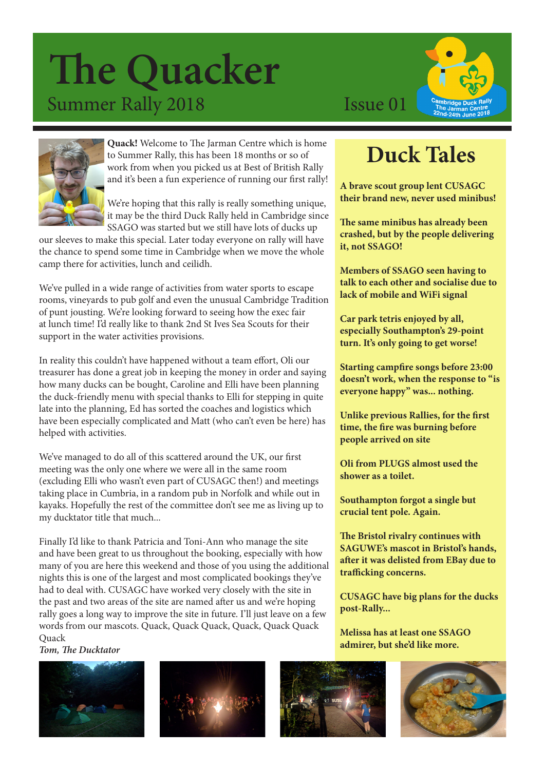## **The Quacker** Summer Rally 2018 Issue 01





**Quack!** Welcome to The Jarman Centre which is home to Summer Rally, this has been 18 months or so of work from when you picked us at Best of British Rally and it's been a fun experience of running our first rally!

We're hoping that this rally is really something unique, it may be the third Duck Rally held in Cambridge since SSAGO was started but we still have lots of ducks up

our sleeves to make this special. Later today everyone on rally will have the chance to spend some time in Cambridge when we move the whole camp there for activities, lunch and ceilidh.

We've pulled in a wide range of activities from water sports to escape rooms, vineyards to pub golf and even the unusual Cambridge Tradition of punt jousting. We're looking forward to seeing how the exec fair at lunch time! I'd really like to thank 2nd St Ives Sea Scouts for their support in the water activities provisions.

In reality this couldn't have happened without a team effort, Oli our treasurer has done a great job in keeping the money in order and saying how many ducks can be bought, Caroline and Elli have been planning the duck-friendly menu with special thanks to Elli for stepping in quite late into the planning, Ed has sorted the coaches and logistics which have been especially complicated and Matt (who can't even be here) has helped with activities.

We've managed to do all of this scattered around the UK, our first meeting was the only one where we were all in the same room (excluding Elli who wasn't even part of CUSAGC then!) and meetings taking place in Cumbria, in a random pub in Norfolk and while out in kayaks. Hopefully the rest of the committee don't see me as living up to my ducktator title that much...

Finally I'd like to thank Patricia and Toni-Ann who manage the site and have been great to us throughout the booking, especially with how many of you are here this weekend and those of you using the additional nights this is one of the largest and most complicated bookings they've had to deal with. CUSAGC have worked very closely with the site in the past and two areas of the site are named after us and we're hoping rally goes a long way to improve the site in future. I'll just leave on a few words from our mascots. Quack, Quack Quack, Quack, Quack Quack Quack

*Tom, The Ducktator* 









### **Duck Tales**

**A brave scout group lent CUSAGC their brand new, never used minibus!**

**The same minibus has already been crashed, but by the people delivering it, not SSAGO!**

**Members of SSAGO seen having to talk to each other and socialise due to lack of mobile and WiFi signal**

**Car park tetris enjoyed by all, especially Southampton's 29-point turn. It's only going to get worse!**

**Starting campfire songs before 23:00 doesn't work, when the response to "is everyone happy" was... nothing.**

**Unlike previous Rallies, for the first time, the fire was burning before people arrived on site**

**Oli from PLUGS almost used the shower as a toilet.**

**Southampton forgot a single but crucial tent pole. Again.**

**The Bristol rivalry continues with SAGUWE's mascot in Bristol's hands, after it was delisted from EBay due to trafficking concerns.** 

**CUSAGC have big plans for the ducks post-Rally...** 

**Melissa has at least one SSAGO admirer, but she'd like more.**